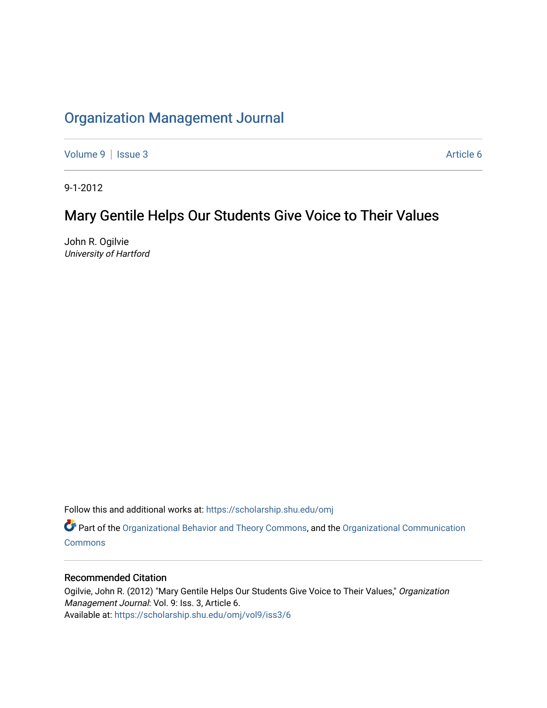# [Organization Management Journal](https://scholarship.shu.edu/omj)

[Volume 9](https://scholarship.shu.edu/omj/vol9) | [Issue 3](https://scholarship.shu.edu/omj/vol9/iss3) Article 6

9-1-2012

# Mary Gentile Helps Our Students Give Voice to Their Values

John R. Ogilvie University of Hartford

Follow this and additional works at: [https://scholarship.shu.edu/omj](https://scholarship.shu.edu/omj?utm_source=scholarship.shu.edu%2Fomj%2Fvol9%2Fiss3%2F6&utm_medium=PDF&utm_campaign=PDFCoverPages) 

Part of the [Organizational Behavior and Theory Commons,](http://network.bepress.com/hgg/discipline/639?utm_source=scholarship.shu.edu%2Fomj%2Fvol9%2Fiss3%2F6&utm_medium=PDF&utm_campaign=PDFCoverPages) and the [Organizational Communication](http://network.bepress.com/hgg/discipline/335?utm_source=scholarship.shu.edu%2Fomj%2Fvol9%2Fiss3%2F6&utm_medium=PDF&utm_campaign=PDFCoverPages) **[Commons](http://network.bepress.com/hgg/discipline/335?utm_source=scholarship.shu.edu%2Fomj%2Fvol9%2Fiss3%2F6&utm_medium=PDF&utm_campaign=PDFCoverPages)** 

### Recommended Citation

Ogilvie, John R. (2012) "Mary Gentile Helps Our Students Give Voice to Their Values," Organization Management Journal: Vol. 9: Iss. 3, Article 6. Available at: [https://scholarship.shu.edu/omj/vol9/iss3/6](https://scholarship.shu.edu/omj/vol9/iss3/6?utm_source=scholarship.shu.edu%2Fomj%2Fvol9%2Fiss3%2F6&utm_medium=PDF&utm_campaign=PDFCoverPages)